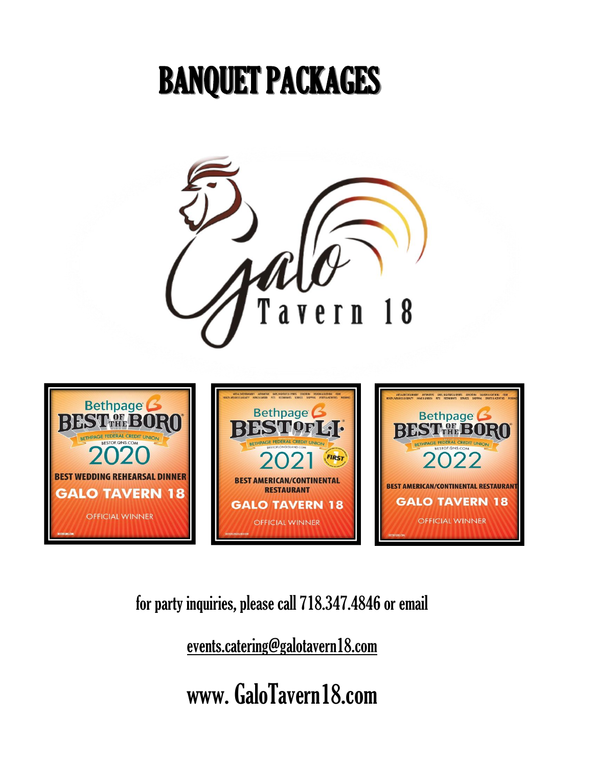# BANQUET PACKAGES



[f](mailto:tavern18nyc.events@gmail.com)or party inquiries, please call 718.347.4846 or email

events.catering@galotavern18.com

[w](http://www.galotavern18.com/)ww. GaloTavern18.com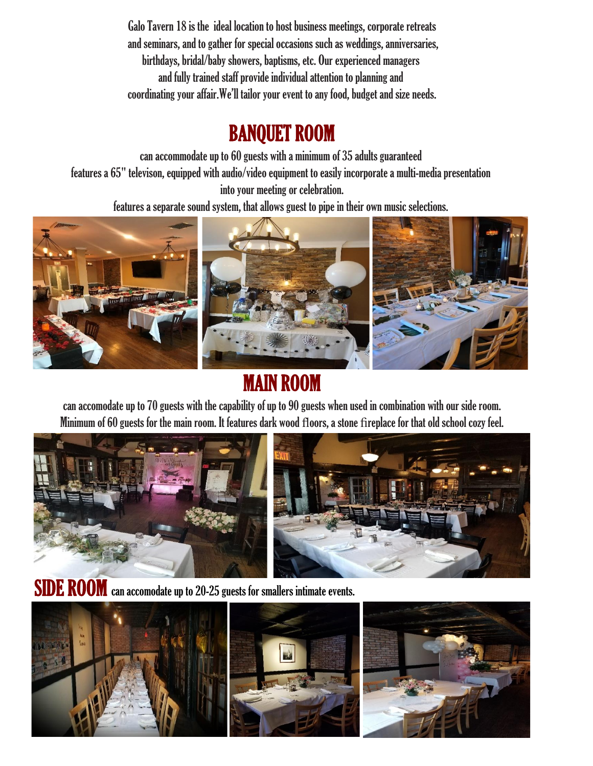Galo Tavern 18 is the ideal location to host business meetings, corporate retreats and seminars, and to gather for special occasions such as weddings, anniversaries, birthdays, bridal/baby showers, baptisms, etc. Our experienced managers and fully trained staff provide individual attention to planning and coordinating your affair.We'll tailor your event to any food, budget and size needs.

## BANQUET ROOM

can accommodate up to 60 guests with a minimum of 35 adults guaranteed features a 65" televison, equipped with audio/video equipment to easily incorporate a multi-media presentation into your meeting or celebration.

features a separate sound system, that allows guest to pipe in their own music selections.



## MAIN ROOM

can accomodate up to 70 guests with the capability of up to 90 guests when used in combination with our side room. Minimum of 60 guests for the main room. It features dark wood floors, a stone fireplace for that old school cozy feel.



SIDE ROOM can accomodate up to 20-25 guests for smallers intimate events.

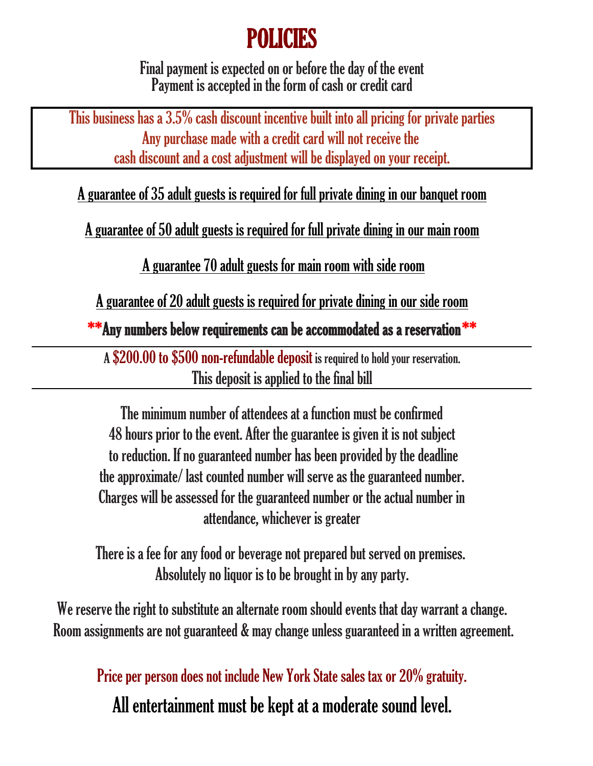## POLICIES

Final payment is expected on or before the day of the event Payment is accepted in the form of cash or credit card

This business has a 3.5% cash discount incentive built into all pricing for private parties Any purchase made with a credit card will not receive the cash discount and a cost adjustment will be displayed on your receipt.

A guarantee of 35 adult guests is required for full private dining in our banquet room

A guarantee of 50 adult guests is required for full private dining in our main room

A guarantee 70 adult guests for main room with side room

A guarantee of 20 adult guests is required for private dining in our side room

\*\*Any numbers below requirements can be accommodated as a reservation \*\*

A \$200.00 to \$500 non-refundable deposit is required to hold your reservation. This deposit is applied to the final bill

48 hours prior to the event. After the guarantee is given it is not subject to reduction. If no guaranteed number has been provided by the deadline the approximate/ last counted number will serve as the guaranteed number. Charges will be assessed for the guaranteed number or the actual number in attendance, whichever is greater The minimum number of attendees at a function must be confirmed

There is a fee for any food or beverage not prepared but served on premises. Absolutely no liquor is to be brought in by any party.

We reserve the right to substitute an alternate room should events that day warrant a change. Room assignments are not guaranteed & may change unless guaranteed in a written agreement.

Price per person does not include New York State sales tax or 20% gratuity.

All entertainment must be kept at a moderate sound level.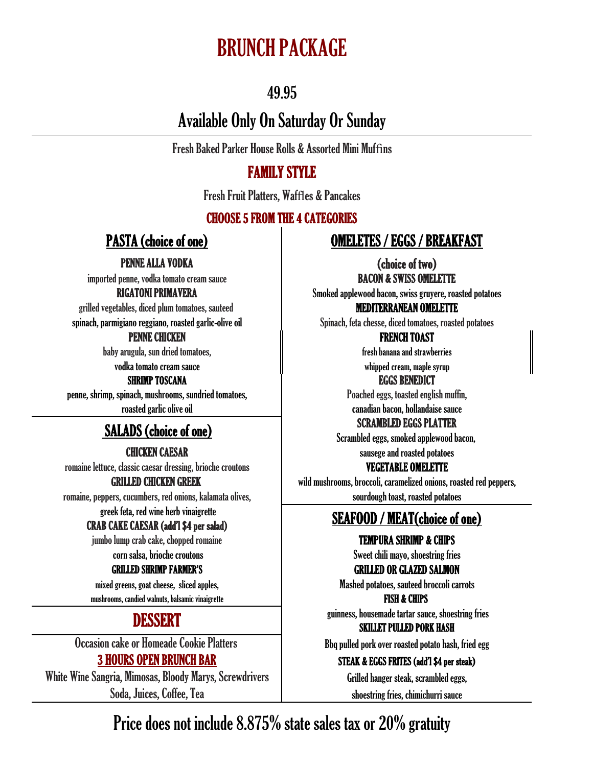## BRUNCH PACKAGE

## 49.95

## Available Only On Saturday Or Sunday

Fresh Baked Parker House Rolls & Assorted Mini Muffins

### FAMILY STYLE

Fresh Fruit Platters, Waffles & Pancakes

### CHOOSE 5 FROM THE 4 CATEGORIES

imported penne, vodka tomato cream sauce **BACON & SWISS OMELETTE** 

grilled vegetables, diced plum tomatoes, sauteed **MEDITERRANEAN OMELETTE** 

### PENNE CHICKEN FRENCH TOAST

baby arugula, sun dried tomatoes, fresh banana and strawberries

### SHRIMP TOSCANA EGGS BENEDICT

penne, shrimp, spinach, mushrooms, sundried tomatoes, english muffin, penne, shrimp, spinached eggs, toasted english muffin, roasted garlic olive oil canadian bacon, hollandaise sauce

## SCRAMBLED EGGS PLATTER<br>SCRAMBLED EGGS PLATTER

romaine lettuce, classic caesar dressing, brioche croutons **VEGETABLE OMELETTE** 

romaine, peppers, cucumbers, red onions, kalamata olives, sources on sourdough toast, roasted potatoes

jumbo lump crab cake, chopped romaine TEMPURA SHRIMP & CHIPS

mixed greens, goat cheese, sliced apples, Mashed potatoes, sauteed broccoli carrots mushrooms, candied walnuts, balsamic vinaigrette FISH & CHIPS

White Wine Sangria, Mimosas, Bloody Marys, Screwdrivers Grilled hanger steak, scrambled eggs, Soda, Juices, Coffee, Tea shoestring fries, chimichurri sauce

### PASTA (choice of one) OMELETES / EGGS / BREAKFAST

PENNE ALLA VODKA (choice of two)

RIGATONI PRIMAVERA Smoked applewood bacon, swiss gruyere, roasted potatoes

spinach, parmigiano reggiano, roasted garlic-olive oil Spinach, feta chesse, diced tomatoes, roasted potatoes

vodka tomato cream sauce whipped cream, maple syrup

Scrambled eggs, smoked applewood bacon,

CHICKEN CAESAR sausege and roasted potatoes

GRILLED CHICKEN GREEK wild mushrooms, broccoli, caramelized onions, roasted red peppers,

## greek feta, red wine herb vinaigrette **SEAFOOD / MEAT(choice of one)**<br>CRAB CAKE CAESAR (add'l \$4 per salad)

corn salsa, brioche croutons **Sweet chili mayo**, shoestring fries

GRILLED SHRIMP FARMER'S GRILLED OR GLAZED SALMON

**DESSERT** guinness, housemade tartar sauce, shoestring fries SKILLET PULLED PORK HASH

Occasion cake or Homeade Cookie Platters Bbq pulled pork over roasted potato hash, fried egg

### 3 HOURS OPEN BRUNCH BAR STEAK & EGGS FRITES (add'l \$4 per steak)

Price does not include 8.875% state sales tax or 20% gratuity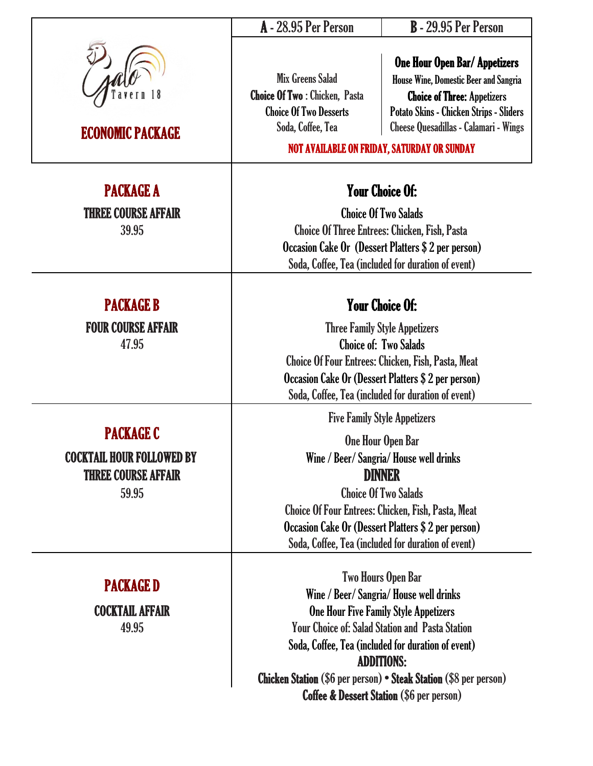|                                                                                             | A - 28.95 Per Person                                                                                                                                                                                                                                                                                                                                                                          | <b>B</b> - 29.95 Per Person                                                                                                                                                                                                                                                        |  |
|---------------------------------------------------------------------------------------------|-----------------------------------------------------------------------------------------------------------------------------------------------------------------------------------------------------------------------------------------------------------------------------------------------------------------------------------------------------------------------------------------------|------------------------------------------------------------------------------------------------------------------------------------------------------------------------------------------------------------------------------------------------------------------------------------|--|
| <b>ECONOMIC PACKAGE</b>                                                                     | <b>Mix Greens Salad</b><br><b>Choice Of Two: Chicken, Pasta</b><br><b>Choice Of Two Desserts</b><br>Soda, Coffee, Tea                                                                                                                                                                                                                                                                         | <b>One Hour Open Bar/ Appetizers</b><br><b>House Wine, Domestic Beer and Sangria</b><br><b>Choice of Three: Appetizers</b><br><b>Potato Skins - Chicken Strips - Sliders</b><br><b>Cheese Quesadillas - Calamari - Wings</b><br><b>NOT AVAILABLE ON FRIDAY, SATURDAY OR SUNDAY</b> |  |
| <b>PACKAGE A</b><br><b>THREE COURSE AFFAIR</b><br>39.95                                     | <b>Your Choice Of:</b><br><b>Choice Of Two Salads</b><br><b>Choice Of Three Entrees: Chicken, Fish, Pasta</b><br>Occasion Cake Or (Dessert Platters \$ 2 per person)<br>Soda, Coffee, Tea (included for duration of event)                                                                                                                                                                    |                                                                                                                                                                                                                                                                                    |  |
| <b>PACKAGE B</b><br><b>FOUR COURSE AFFAIR</b><br>47.95                                      | <b>Your Choice Of:</b><br><b>Three Family Style Appetizers</b><br><b>Choice of: Two Salads</b><br><b>Choice Of Four Entrees: Chicken, Fish, Pasta, Meat</b><br>Occasion Cake Or (Dessert Platters \$2 per person)<br>Soda, Coffee, Tea (included for duration of event)                                                                                                                       |                                                                                                                                                                                                                                                                                    |  |
| <b>PACKAGE C</b><br><b>COCKTAIL HOUR FOLLOWED BY</b><br><b>THREE COURSE AFFAIR</b><br>59.95 | <b>Five Family Style Appetizers</b><br>One Hour Open Bar<br>Wine / Beer/ Sangria/ House well drinks<br><b>DINNER</b><br><b>Choice Of Two Salads</b><br><b>Choice Of Four Entrees: Chicken, Fish, Pasta, Meat</b><br>Occasion Cake Or (Dessert Platters \$ 2 per person)<br>Soda, Coffee, Tea (included for duration of event)                                                                 |                                                                                                                                                                                                                                                                                    |  |
| <b>PACKAGE D</b><br><b>COCKTAIL AFFAIR</b><br>49.95                                         | <b>Two Hours Open Bar</b><br>Wine / Beer/ Sangria/ House well drinks<br><b>One Hour Five Family Style Appetizers</b><br><b>Your Choice of: Salad Station and Pasta Station</b><br>Soda, Coffee, Tea (included for duration of event)<br><b>ADDITIONS:</b><br><b>Chicken Station (\$6 per person) · Steak Station (\$8 per person)</b><br><b>Coffee &amp; Dessert Station (\$6 per person)</b> |                                                                                                                                                                                                                                                                                    |  |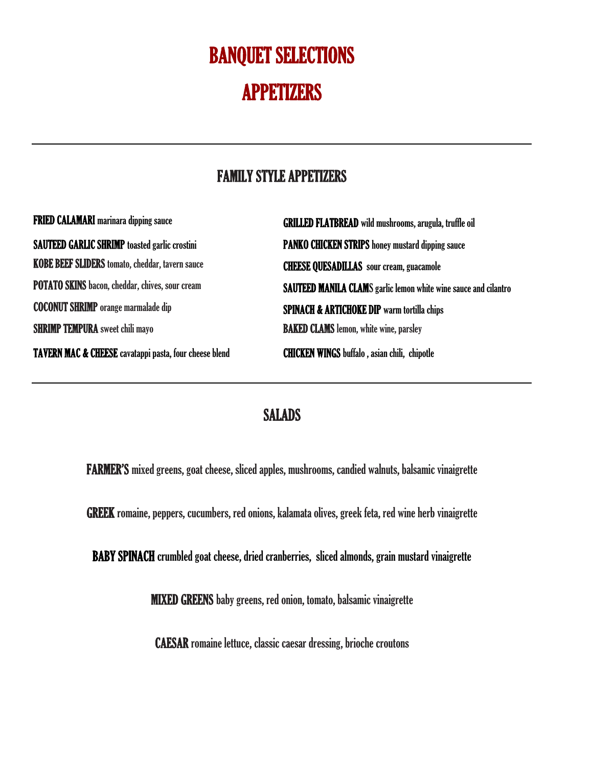## BANQUET SELECTIONS APPETIZERS

## FAMILY STYLE APPETIZERS

| <b>FRIED CALAMARI</b> marinara dipping sauce                      | <b>GRILLED FLATBREAD</b> wild mushrooms, arugula, truffle oil          |
|-------------------------------------------------------------------|------------------------------------------------------------------------|
| <b>SAUTEED GARLIC SHRIMP</b> toasted garlic crostini              | <b>PANKO CHICKEN STRIPS</b> honey mustard dipping sauce                |
| KOBE BEEF SLIDERS tomato, cheddar, tavern sauce                   | <b>CHEESE QUESADILLAS</b> sour cream, guacamole                        |
| <b>POTATO SKINS</b> bacon, cheddar, chives, sour cream            | <b>SAUTEED MANILA CLAMS</b> garlic lemon white wine sauce and cilantro |
| <b>COCONUT SHRIMP</b> orange marmalade dip                        | <b>SPINACH &amp; ARTICHOKE DIP</b> warm tortilla chips                 |
| <b>SHRIMP TEMPURA</b> sweet chili mayo                            | <b>BAKED CLAMS</b> lemon, white wine, parsley                          |
| <b>TAVERN MAC &amp; CHEESE</b> cavatappi pasta, four cheese blend | <b>CHICKEN WINGS</b> buffalo, asian chili, chipotle                    |

### SALADS

FARMER'S mixed greens, goat cheese, sliced apples, mushrooms, candied walnuts, balsamic vinaigrette

GREEK romaine, peppers, cucumbers, red onions, kalamata olives, greek feta, red wine herb vinaigrette

BABY SPINACH crumbled goat cheese, dried cranberries, sliced almonds, grain mustard vinaigrette

MIXED GREENS baby greens, red onion, tomato, balsamic vinaigrette

CAESAR romaine lettuce, classic caesar dressing, brioche croutons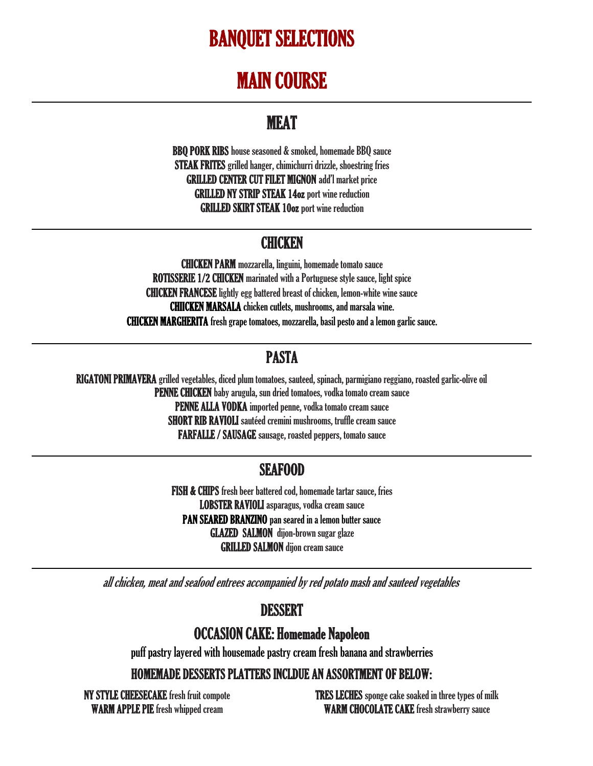## BANQUET SELECTIONS

## MAIN COURSE

## **MEAT**

BBQ PORK RIBS house seasoned & smoked, homemade BBQ sauce STEAK FRITES grilled hanger, chimichurri drizzle, shoestring fries GRILLED CENTER CUT FILET MIGNON add'l market price GRILLED NY STRIP STEAK 14oz port wine reduction GRILLED SKIRT STEAK 10oz port wine reduction

## **CHICKEN**

CHICKEN MARGHERITA fresh grape tomatoes, mozzarella, basil pesto and a lemon garlic sauce. CHICKEN PARM mozzarella, linguini, homemade tomato sauce ROTISSERIE 1/2 CHICKEN marinated with a Portuguese style sauce, light spice CHICKEN FRANCESE lightly egg battered breast of chicken, lemon-white wine sauce CHIICKEN MARSALA chicken cutlets, mushrooms, and marsala wine.

## PASTA

RIGATONI PRIMAVERA grilled vegetables, diced plum tomatoes, sauteed, spinach, parmigiano reggiano, roasted garlic-olive oil PENNE CHICKEN baby arugula, sun dried tomatoes, vodka tomato cream sauce PENNE ALLA VODKA imported penne, vodka tomato cream sauce SHORT RIB RAVIOLI sautéed cremini mushrooms, truffle cream sauce FARFALLE / SAUSAGE sausage, roasted peppers, tomato sauce

### SEAFOOD

GRILLED SALMON dijon cream sauce FISH & CHIPS fresh beer battered cod, homemade tartar sauce, fries LOBSTER RAVIOLI asparagus, vodka cream sauce PAN SEARED BRANZINO pan seared in a lemon butter sauce GLAZED SALMON dijon-brown sugar glaze

all chicken, meat and seafood entrees accompanied by red potato mash and sauteed vegetables

## DESSERT

### OCCASION CAKE: Homemade Napoleon

puff pastry layered with housemade pastry cream fresh banana and strawberries

HOMEMADE DESSERTS PLATTERS INCLDUE AN ASSORTMENT OF BELOW:

NY STYLE CHEESECAKE fresh fruit compote TRES LECHES sponge cake soaked in three types of milk WARM APPLE PIE fresh whipped cream WARM CHOCOLATE CAKE fresh strawberry sauce